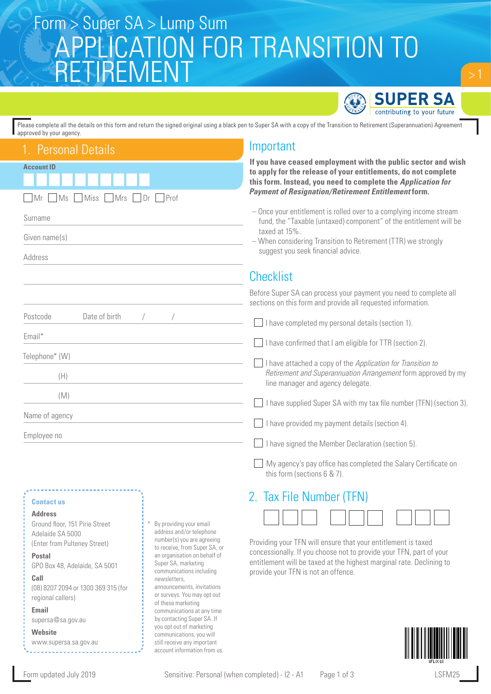# APPLICATION FOR TRANSITION TO **TREME** Form > Super SA > Lump Sum



Please complete all the details on this form and return the signed original using a black pen to Super SA with a copy of the Transition to Retirement (Superannuation) Agreement approved by your agency.

| 1. Personal Details                                                                                                                                                                                                                                                                                                                                                                  | Important                                                                                                                                                                                                                                                                                                                                                                                                                                                                                                                                                                                                                                                                                               |
|--------------------------------------------------------------------------------------------------------------------------------------------------------------------------------------------------------------------------------------------------------------------------------------------------------------------------------------------------------------------------------------|---------------------------------------------------------------------------------------------------------------------------------------------------------------------------------------------------------------------------------------------------------------------------------------------------------------------------------------------------------------------------------------------------------------------------------------------------------------------------------------------------------------------------------------------------------------------------------------------------------------------------------------------------------------------------------------------------------|
| <b>Account ID</b><br>Mr<br>Prof<br>Ms<br>Miss<br>Mrs<br>Dr                                                                                                                                                                                                                                                                                                                           | If you have ceased employment with the public sector and wish<br>to apply for the release of your entitlements, do not complete<br>this form. Instead, you need to complete the Application for<br><b>Payment of Resignation/Retirement Entitlement form.</b>                                                                                                                                                                                                                                                                                                                                                                                                                                           |
| Surname<br>Given name(s)<br>Address                                                                                                                                                                                                                                                                                                                                                  | - Once your entitlement is rolled over to a complying income stream<br>fund, the "Taxable (untaxed) component" of the entitlement will be<br>taxed at 15%.<br>- When considering Transition to Retirement (TTR) we strongly<br>suggest you seek financial advice.                                                                                                                                                                                                                                                                                                                                                                                                                                       |
|                                                                                                                                                                                                                                                                                                                                                                                      | <b>Checklist</b>                                                                                                                                                                                                                                                                                                                                                                                                                                                                                                                                                                                                                                                                                        |
| Date of birth<br>Postcode<br>Email*<br>Telephone* (W)<br>(H)<br>(M)<br>Name of agency<br>Employee no                                                                                                                                                                                                                                                                                 | Before Super SA can process your payment you need to complete all<br>sections on this form and provide all requested information.<br>I have completed my personal details (section 1).<br>I have confirmed that I am eligible for TTR (section 2).<br>I have attached a copy of the Application for Transition to<br>Retirement and Superannuation Arrangement form approved by my<br>line manager and agency delegate.<br>I have supplied Super SA with my tax file number (TFN) (section 3).<br>I have provided my payment details (section 4).<br>I have signed the Member Declaration (section 5).<br>My agency's pay office has completed the Salary Certificate on<br>this form (sections 6 & 7). |
| <b>Contact us</b><br><b>Address</b><br>Ground floor, 151 Pirie Street<br>By providing your email<br>address and/or telephone<br>Adelaide SA 5000<br>number(s) you are agreeing<br>(Enter from Pulteney Street)<br>to receive, from Super SA, or<br>an organisation on behalf of<br><b>Postal</b><br>Super SA, marketing<br>GPO Box 48, Adelaide, SA 5001<br>communications including | 2. Tax File Number (TFN)<br>Providing your TFN will ensure that your entitlement is taxed<br>concessionally. If you choose not to provide your TFN, part of your<br>entitlement will be taxed at the highest marginal rate. Declining to<br>provide your TFN is not an offence.                                                                                                                                                                                                                                                                                                                                                                                                                         |



(08) 8207 2094 or 1300 369 315 (for

newsletters,

announcements, invitations or surveys. You may opt out of these marketing communications at any time by contacting Super SA. If you opt out of marketing communications, you will still receive any important account information from us.

**Call** 

**Email**

**Website**

regional callers)

supersa@sa.gov.au

www.supersa.sa.gov.au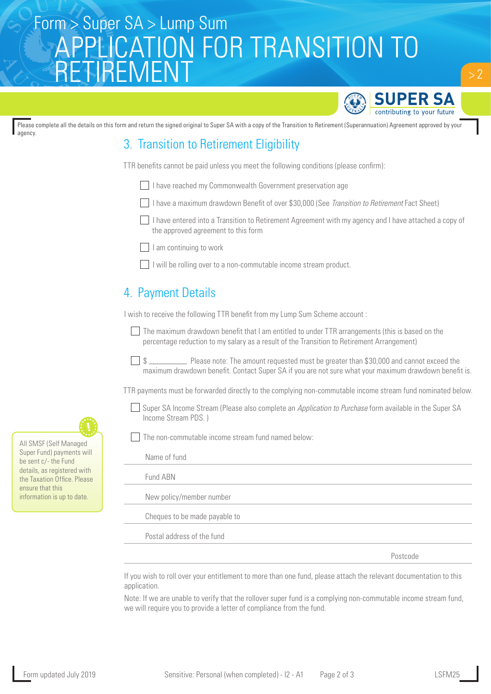# Form > Super SA > Lump Sum<br>
SA DDLIC ATIONLEOD TD A NICITIONLEO APPLICATION FOR TRANSITION TO RETIREMENT



 $> 2$ 

Please complete all the details on this form and return the signed original to Super SA with a copy of the Transition to Retirement (Superannuation) Agreement approved by your agency.

## 3. Transition to Retirement Eligibility

TTR benefits cannot be paid unless you meet the following conditions (please confirm):

I have reached my Commonwealth Government preservation age

I have a maximum drawdown Benefit of over \$30,000 (See *Transition to Retirement* Fact Sheet)

 I have entered into a Transition to Retirement Agreement with my agency and I have attached a copy of the approved agreement to this form

 $\Box$  I am continuing to work

 $\Box$  I will be rolling over to a non-commutable income stream product.

### 4. Payment Details

I wish to receive the following TTR benefit from my Lump Sum Scheme account :

 $\Box$  The maximum drawdown benefit that I am entitled to under TTR arrangements (this is based on the percentage reduction to my salary as a result of the Transition to Retirement Arrangement)

 $\Box$  \$ maximum drawdown benefit. Contact Super SA if you are not sure what your maximum drawdown benefit is.

TTR payments must be forwarded directly to the complying non-commutable income stream fund nominated below.

Super SA Income Stream (Please also complete an *Application to Purchase* form available in the Super SA Income Stream PDS. )

The non-commutable income stream fund named below:

| Name of fund                  |
|-------------------------------|
| Fund ABN                      |
| New policy/member number      |
| Cheques to be made payable to |
| Postal address of the fund    |
|                               |

Postcode

If you wish to roll over your entitlement to more than one fund, please attach the relevant documentation to this application.

Note: If we are unable to verify that the rollover super fund is a complying non-commutable income stream fund, we will require you to provide a letter of compliance from the fund.